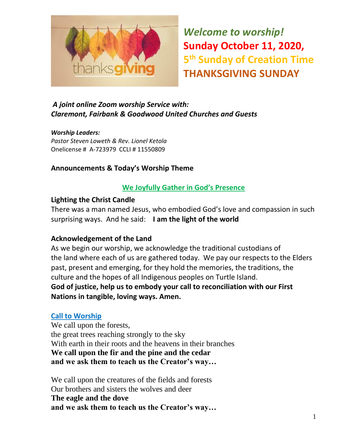

*Welcome to worship!* **Sunday October 11, 2020, 5 th Sunday of Creation Time THANKSGIVING SUNDAY** 

### *A joint online Zoom worship Service with: Claremont, Fairbank & Goodwood United Churches and Guests*

*Worship Leaders: Pastor Steven Loweth & Rev. Lionel Ketola* Onelicense # A-723979 CCLI # 11550809

#### **Announcements & Today's Worship Theme**

#### **We Joyfully Gather in God's Presence**

#### **Lighting the Christ Candle**

There was a man named Jesus, who embodied God's love and compassion in such surprising ways. And he said: **I am the light of the world** 

#### **Acknowledgement of the Land**

As we begin our worship, we acknowledge the traditional custodians of the land where each of us are gathered today. We pay our respects to the Elders past, present and emerging, for they hold the memories, the traditions, the culture and the hopes of all Indigenous peoples on Turtle Island. **God of justice, help us to embody your call to reconciliation with our First Nations in tangible, loving ways. Amen.** 

#### **Call to Worship**

We call upon the forests, the great trees reaching strongly to the sky With earth in their roots and the heavens in their branches **We call upon the fir and the pine and the cedar and we ask them to teach us the Creator's way…** 

We call upon the creatures of the fields and forests Our brothers and sisters the wolves and deer **The eagle and the dove and we ask them to teach us the Creator's way…**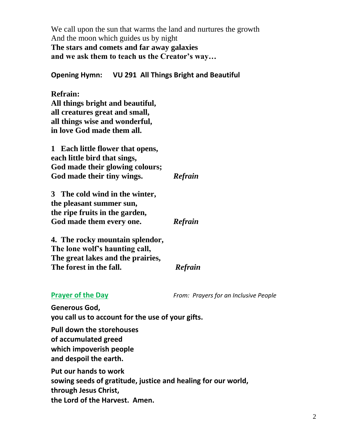We call upon the sun that warms the land and nurtures the growth And the moon which guides us by night **The stars and comets and far away galaxies and we ask them to teach us the Creator's way…** 

**Opening Hymn: VU 291 All Things Bright and Beautiful** 

**Refrain: All things bright and beautiful, all creatures great and small, all things wise and wonderful, in love God made them all.**

**1 Each little flower that opens, each little bird that sings, God made their glowing colours; God made their tiny wings.** *Refrain*

**3 The cold wind in the winter, the pleasant summer sun, the ripe fruits in the garden, God made them every one.** *Refrain*

**4. The rocky mountain splendor, The lone wolf's haunting call, The great lakes and the prairies, The forest in the fall.** *Refrain*

**Prayer of the Day** *From: Prayers for an Inclusive People* 

**Generous God, you call us to account for the use of your gifts.**

**Pull down the storehouses of accumulated greed which impoverish people and despoil the earth.** 

**Put our hands to work sowing seeds of gratitude, justice and healing for our world, through Jesus Christ, the Lord of the Harvest. Amen.**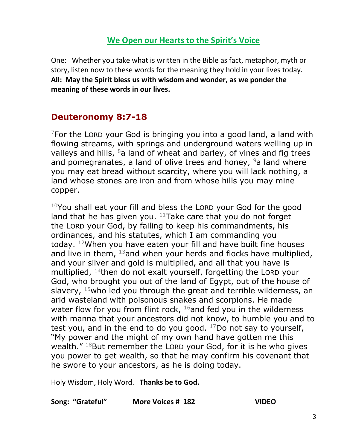# **We Open our Hearts to the Spirit's Voice**

One: Whether you take what is written in the Bible as fact, metaphor, myth or story, listen now to these words for the meaning they hold in your lives today. **All: May the Spirit bless us with wisdom and wonder, as we ponder the meaning of these words in our lives.**

# **Deuteronomy 8:7-18**

 $7$ For the LORD your God is bringing you into a good land, a land with flowing streams, with springs and underground waters welling up in valleys and hills,  $8a$  land of wheat and barley, of vines and fig trees and pomegranates, a land of olive trees and honey,  $9a$  land where you may eat bread without scarcity, where you will lack nothing, a land whose stones are iron and from whose hills you may mine copper.

 $10$ You shall eat your fill and bless the LORD your God for the good land that he has given you.  $11$ Take care that you do not forget the LORD your God, by failing to keep his commandments, his ordinances, and his statutes, which I am commanding you today. <sup>12</sup>When you have eaten your fill and have built fine houses and live in them,  $13$  and when your herds and flocks have multiplied, and your silver and gold is multiplied, and all that you have is multiplied,  $14$ then do not exalt yourself, forgetting the LORD your God, who brought you out of the land of Egypt, out of the house of slavery,  $15$  who led you through the great and terrible wilderness, an arid wasteland with poisonous snakes and scorpions. He made water flow for you from flint rock,  $16$  and fed you in the wilderness with manna that your ancestors did not know, to humble you and to test you, and in the end to do you good.  $17$ Do not say to yourself, "My power and the might of my own hand have gotten me this wealth."  $18$ But remember the LORD your God, for it is he who gives you power to get wealth, so that he may confirm his covenant that he swore to your ancestors, as he is doing today.

Holy Wisdom, Holy Word. **Thanks be to God.** 

#### **Song: "Grateful" More Voices # 182 VIDEO**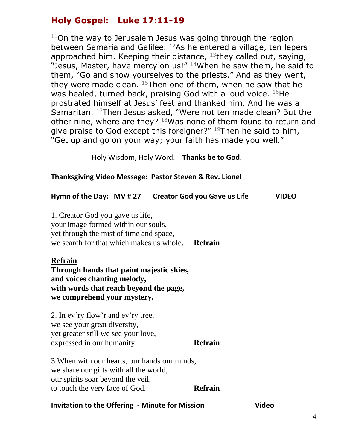# **Holy Gospel: Luke 17:11-19**

 $11$ On the way to Jerusalem Jesus was going through the region between Samaria and Galilee. <sup>12</sup>As he entered a village, ten lepers approached him. Keeping their distance,  $13$ they called out, saying, "Jesus, Master, have mercy on us!"  $14$ When he saw them, he said to them, "Go and show yourselves to the priests." And as they went, they were made clean.  $15$ Then one of them, when he saw that he was healed, turned back, praising God with a loud voice.  $^{16}$ He prostrated himself at Jesus' feet and thanked him. And he was a Samaritan. <sup>17</sup>Then Jesus asked, "Were not ten made clean? But the other nine, where are they? 18Was none of them found to return and give praise to God except this foreigner?" <sup>19</sup>Then he said to him, "Get up and go on your way; your faith has made you well."

Holy Wisdom, Holy Word. **Thanks be to God.**

#### **Thanksgiving Video Message: Pastor Steven & Rev. Lionel**

| Hymn of the Day: MV # 27 Creator God you Gave us Life                                                                                                                     |  |  |                | <b>VIDEO</b> |
|---------------------------------------------------------------------------------------------------------------------------------------------------------------------------|--|--|----------------|--------------|
| 1. Creator God you gave us life,<br>your image formed within our souls,<br>yet through the mist of time and space,<br>we search for that which makes us whole.<br>Refrain |  |  |                |              |
| <b>Refrain</b><br>Through hands that paint majestic skies,<br>and voices chanting melody,<br>with words that reach beyond the page,<br>we comprehend your mystery.        |  |  |                |              |
| 2. In ev'ry flow'r and ev'ry tree,<br>we see your great diversity,<br>yet greater still we see your love,<br>expressed in our humanity.                                   |  |  | <b>Refrain</b> |              |
| 3. When with our hearts, our hands our minds,<br>we share our gifts with all the world,<br>our spirits soar beyond the veil,<br>to touch the very face of God.            |  |  | <b>Refrain</b> |              |

#### **Invitation to the Offering - Minute for Mission Communisty Communisty Communisty Communisty Communisty Communisty**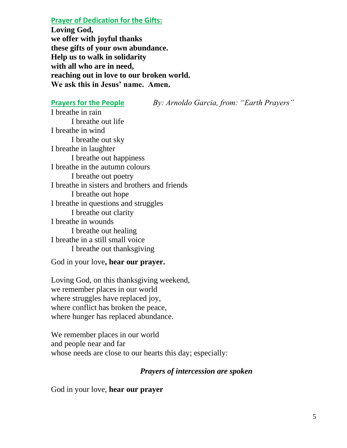**Prayer of Dedication for the Gifts:** 

**Loving God, we offer with joyful thanks these gifts of your own abundance. Help us to walk in solidarity with all who are in need, reaching out in love to our broken world. We ask this in Jesus' name. Amen.** 

**Prayers for the People** *By: Arnoldo Garcia, from: "Earth Prayers"*

I breathe in rain I breathe out life I breathe in wind I breathe out sky I breathe in laughter I breathe out happiness I breathe in the autumn colours I breathe out poetry I breathe in sisters and brothers and friends I breathe out hope I breathe in questions and struggles I breathe out clarity I breathe in wounds I breathe out healing I breathe in a still small voice I breathe out thanksgiving

God in your love**, hear our prayer.** 

Loving God, on this thanksgiving weekend, we remember places in our world where struggles have replaced joy, where conflict has broken the peace, where hunger has replaced abundance.

We remember places in our world and people near and far whose needs are close to our hearts this day; especially:

#### *Prayers of intercession are spoken*

God in your love, **hear our prayer**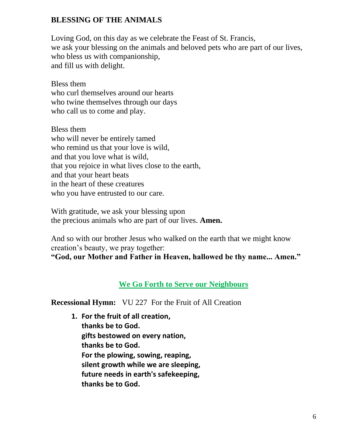#### **BLESSING OF THE ANIMALS**

Loving God, on this day as we celebrate the Feast of St. Francis, we ask your blessing on the animals and beloved pets who are part of our lives, who bless us with companionship, and fill us with delight.

Bless them who curl themselves around our hearts who twine themselves through our days who call us to come and play.

Bless them who will never be entirely tamed who remind us that your love is wild, and that you love what is wild, that you rejoice in what lives close to the earth, and that your heart beats in the heart of these creatures who you have entrusted to our care.

With gratitude, we ask your blessing upon the precious animals who are part of our lives. **Amen.** 

And so with our brother Jesus who walked on the earth that we might know creation's beauty, we pray together:

**"God, our Mother and Father in Heaven, hallowed be thy name... Amen."** 

#### **We Go Forth to Serve our Neighbours**

**Recessional Hymn:** VU 227 For the Fruit of All Creation

**1. For the fruit of all creation, thanks be to God. gifts bestowed on every nation, thanks be to God. For the plowing, sowing, reaping, silent growth while we are sleeping, future needs in earth's safekeeping, thanks be to God.**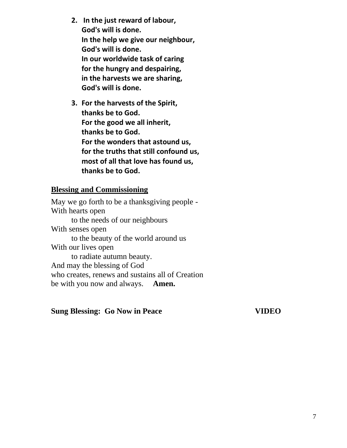- **2. In the just reward of labour, God's will is done. In the help we give our neighbour, God's will is done. In our worldwide task of caring for the hungry and despairing, in the harvests we are sharing, God's will is done.**
- **3. For the harvests of the Spirit, thanks be to God. For the good we all inherit, thanks be to God. For the wonders that astound us, for the truths that still confound us, most of all that love has found us, thanks be to God.**

#### **Blessing and Commissioning**

May we go forth to be a thanksgiving people - With hearts open to the needs of our neighbours With senses open to the beauty of the world around us With our lives open to radiate autumn beauty. And may the blessing of God who creates, renews and sustains all of Creation be with you now and always. **Amen.** 

#### **Sung Blessing: Go Now in Peace VIDEO**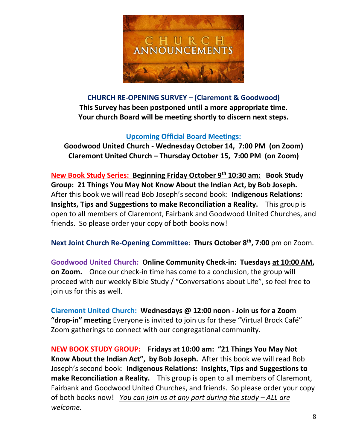

**CHURCH RE-OPENING SURVEY – (Claremont & Goodwood) This Survey has been postponed until a more appropriate time. Your church Board will be meeting shortly to discern next steps.** 

#### **Upcoming Official Board Meetings:**

**Goodwood United Church - Wednesday October 14, 7:00 PM (on Zoom) Claremont United Church – Thursday October 15, 7:00 PM (on Zoom)**

**New Book Study Series: Beginning Friday October 9th 10:30 am: Book Study Group: 21 Things You May Not Know About the Indian Act, by Bob Joseph.** After this book we will read Bob Joseph's second book: **Indigenous Relations: Insights, Tips and Suggestions to make Reconciliation a Reality.** This group is open to all members of Claremont, Fairbank and Goodwood United Churches, and friends. So please order your copy of both books now!

**Next Joint Church Re-Opening Committee**: **Thurs October 8th, 7:00** pm on Zoom.

**Goodwood United Church: Online Community Check-in: Tuesdays at 10:00 AM, on Zoom.** Once our check-in time has come to a conclusion, the group will proceed with our weekly Bible Study / "Conversations about Life", so feel free to join us for this as well.

**Claremont United Church: Wednesdays @ 12:00 noon - Join us for a Zoom "drop-in" meeting** Everyone is invited to join us for these "Virtual Brock Café" Zoom gatherings to connect with our congregational community.

**NEW BOOK STUDY GROUP: Fridays at 10:00 am: "21 Things You May Not Know About the Indian Act", by Bob Joseph.** After this book we will read Bob Joseph's second book: **Indigenous Relations: Insights, Tips and Suggestions to make Reconciliation a Reality.** This group is open to all members of Claremont, Fairbank and Goodwood United Churches, and friends. So please order your copy of both books now! *You can join us at any part during the study – ALL are welcome.*